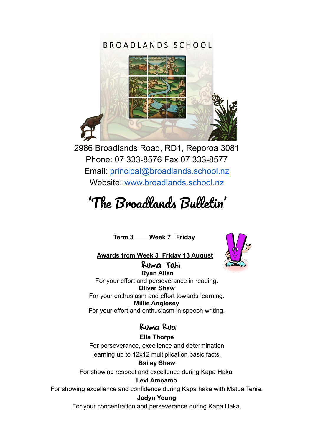## BROADLANDS SCHOOL



2986 Broadlands Road, RD1, Reporoa 3081 Phone: 07 333-8576 Fax 07 333-8577 Email: [principal@broadlands.school.nz](mailto:principal@broadlands.school.nz) Website: [www.broadlands.school.nz](http://www.broadlands.school.nz)

# 'The Broadlands Bulletin '

**Term 3 Week 7 Friday**



**Awards from Week 3 Friday 13 August**

Ruma Tahi **Ryan Allan** For your effort and perseverance in reading. **Oliver Shaw** For your enthusiasm and effort towards learning. **Millie Anglesey** For your effort and enthusiasm in speech writing.

## Ruma Rua

**Ella Thorpe** For perseverance, excellence and determination learning up to 12x12 multiplication basic facts.

**Bailey Shaw** For showing respect and excellence during Kapa Haka.

**Levi Amoamo**

For showing excellence and confidence during Kapa haka with Matua Tenia.

#### **Jadyn Young**

For your concentration and perseverance during Kapa Haka.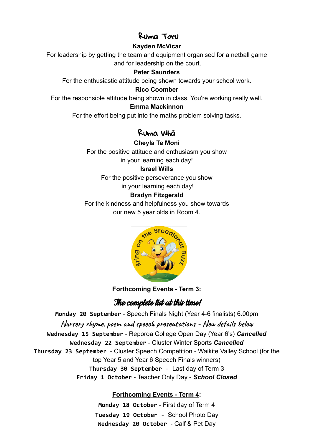#### Ruma Toru

#### **Kayden McVicar**

For leadership by getting the team and equipment organised for a netball game and for leadership on the court.

#### **Peter Saunders**

For the enthusiastic attitude being shown towards your school work.

#### **Rico Coomber**

For the responsible attitude being shown in class. You're working really well.

#### **Emma Mackinnon**

For the effort being put into the maths problem solving tasks.

## Ruma Whā

#### **Cheyla Te Moni**

For the positive attitude and enthusiasm you show in your learning each day!

#### **Israel Wills**

For the positive perseverance you show

in your learning each day!

#### **Bradyn Fitzgerald**

For the kindness and helpfulness you show towards our new 5 year olds in Room 4.



**Forthcoming Events - Term 3:**

## The complete list at this time!

**Monday 20 September** - Speech Finals Night (Year 4-6 finalists) 6.00pm **Nursery rhyme, poem and speech presentations - New details below Wednesday 15 September** - Reporoa College Open Day (Year 6's) *Cancelled* **Wednesday 22 September** - Cluster Winter Sports *Cancelled* **Thursday 23 September** - Cluster Speech Competition - Waikite Valley School (for the top Year 5 and Year 6 Speech Finals winners) **Thursday 30 September** - Last day of Term 3 **Friday 1 October** - Teacher Only Day - *School Closed*

#### **Forthcoming Events - Term 4:**

**Monday 18 October** - First day of Term 4 **Tuesday 19 October** - School Photo Day **Wednesday 20 October** - Calf & Pet Day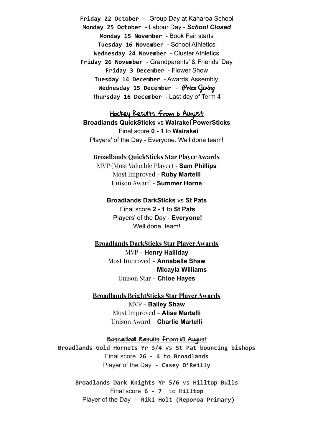**Friday 22 October** - Group Day at Kaharoa School **Monday 25 October** - Labour Day - *School Closed* **Monday 15 November** - Book Fair starts **Tuesday 16 November** - School Athletics **Wednesday 24 November** - Cluster Athletics **Friday 26 November** - Grandparents' & Friends' Day **Friday 3 December** - Flower Show **Tuesday 14 December** - Awards' Assembly **Wednesday 15 December** - Prize Giving **Thursday 16 December** - Last day of Term 4

Hockey Results from 6 August **Broadlands QuickSticks** vs **Wairakei PowerSticks** Final score **0 - 1** to **Wairakei** Players' of the Day - Everyone. Well done team!

**Broadlands QuickSticks Star Player Awards** MVP (Most Valuable Player) - **Sam Phillips** Most Improved - **Ruby Martelli** Unison Award - **Summer Horne**

> **Broadlands DarkSticks** vs **St Pats** Final score **2 - 1** to **St Pats** Players' of the Day - **Everyone!** Well done, team!

**Broadlands DarkSticks Star Player Awards** MVP - **Henry Halliday** Most Improved - **Annabelle Shaw - Micayla Williams** Unison Star - **Chloe Hayes**

**Broadlands BrightSticks Star Player Awards** MVP - **Bailey Shaw** Most Improved - **Alise Martelli** Unison Award - **Charlie Martelli**

Basketball Results from 18 August **Broadlands Gold Hornets Yr 3/4** Vs **St Pat bouncing bishops** Final score **26 - 4** to **Broadlands**

Player of the Day - **Casey O'Reilly**

**Broadlands Dark Knights Yr 5/6** vs **Hilltop Bulls** Final score **6 - 7** to **Hilltop** Player of the Day - **Riki Holt (Reporoa Primary)**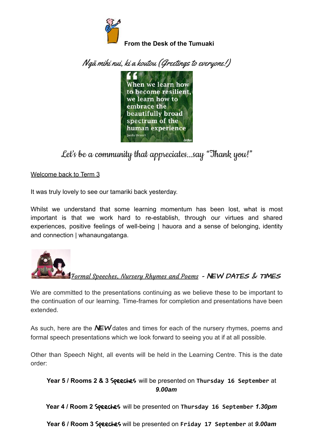

Ngā mihi nui, ki a koutou (Greetings to everyone!)



Let's be a community that appreciates...say "Thank you!"

Welcome back to Term 3

It was truly lovely to see our tamariki back yesterday.

Whilst we understand that some learning momentum has been lost, what is most important is that we work hard to re-establish, through our virtues and shared experiences, positive feelings of well-being | hauora and a sense of belonging, identity and connection | whanaungatanga.



Formal Speeches, Nursery Rhymes and Poems - NEW DATES & TIMES

We are committed to the presentations continuing as we believe these to be important to the continuation of our learning. Time-frames for completion and presentations have been extended.

As such, here are the  $N$ EW dates and times for each of the nursery rhymes, poems and formal speech presentations which we look forward to seeing you at if at all possible.

Other than Speech Night, all events will be held in the Learning Centre. This is the date order:

**Year 5 / Rooms 2 & 3** Speeches will be presented on **Thursday 16 September** at *9.00am*

**Year 4 / Room 2** Speeches will be presented on **Thursday 16 September** *1.30pm*

**Year 6 / Room 3** Speeches will be presented on **Friday 17 September** at *9.00am*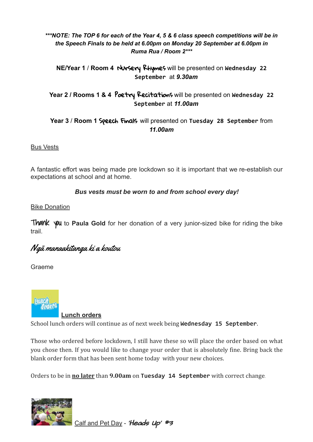#### *\*\*\*NOTE: The TOP 6 for each of the Year 4, 5 & 6 class speech competitions will be in the Speech Finals to be held at 6.00pm on Monday 20 September at 6.00pm in Ruma Rua / Room 2\*\*\**

#### **NE/Year 1** / **Room 4** Nursery Rhymes will be presented on **Wednesday 22 September** at *9.30am*

#### **Year 2 / Rooms 1 & 4** Poetry Recitations will be presented on **Wednesday 22 September** at *11.00am*

#### **Year 3** / **Room 1** Speech Finals will presented on **Tuesday 28 September** from *11.00am*

Bus Vests

A fantastic effort was being made pre lockdown so it is important that we re-establish our expectations at school and at home.

#### *Bus vests must be worn to and from school every day!*

#### Bike Donation

**Thank** you to **Paula Gold** for her donation of a very junior-sized bike for riding the bike trail.

## Ngā manaakitanga ki a koutou

Graeme



**Lunch orders** School lunch orders will continue as of next week being **Wednesday 15 September**.

Those who ordered before lockdown, I still have these so will place the order based on what you chose then. If you would like to change your order that is absolutely fine. Bring back the blank order form that has been sent home today with your new choices.

Orders to be in **no later** than **9.00am** on **Tuesday 14 September** with correct change.



Calf and Pet Day - 'Heads Up' #3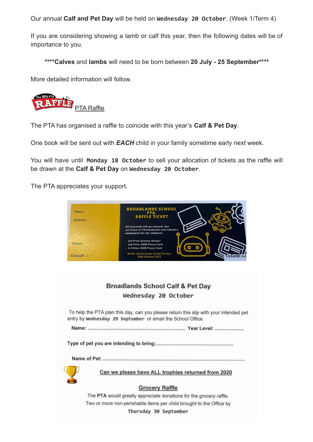Our annual **Calf and Pet Day** will be held on **Wednesday 20 October**. (Week 1/Term 4)

If you are considering showing a lamb or calf this year, then the following dates will be of importance to you.

**\*\*\*\*Calves** and **lambs** will need to be born between **20 July - 25 September\*\*\*\***

More detailed information will follow.

The BIG PTA JFFT. PTA Raffle

The PTA has organised a raffle to coincide with this year's **Calf & Pet Day**.

One book will be sent out with *EACH* child in your family sometime early next week.

You will have until **Monday 18 October** to sell your allocation of tickets as the raffle will be drawn at the **Calf & Pet Day** on **Wednesday 20 October**.

The PTA appreciates your support.



#### **Broadlands School Calf & Pet Day** Wednesday 20 October

To help the PTA plan this day, can you please return this slip with your intended pet entry by Wednesday 29 September or email the School Office.



Can we please have ALL trophies returned from 2020

#### **Grocery Raffle**

The PTA would greatly appreciate donations for the grocery raffle. Two or more non-perishable items per child brought to the Office by Thursday 30 September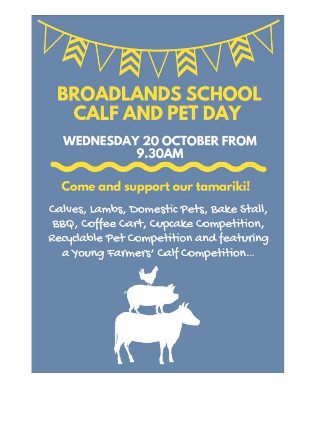

# WEDNESDAY 20 OCTOBER FROM<br>9.30AM

# Come and support our tamariki!

Calues, Lambs, Domestic Pets, Bake Stall, BBQ, Coffee Cart, Cupcake Competition, Recyclable Pet Competition and featuring a young Farmers' Calf Competition...

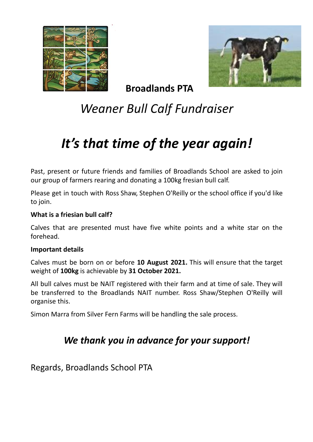



**Broadlands PTA**

# *Weaner Bull Calf Fundraiser*

# *It's that time of the year again!*

Past, present or future friends and families of Broadlands School are asked to join our group of farmers rearing and donating a 100kg fresian bull calf.

Please get in touch with Ross Shaw, Stephen O'Reilly or the school office if you'd like to join.

#### **What is a friesian bull calf?**

Calves that are presented must have five white points and a white star on the forehead.

#### **Important details**

Calves must be born on or before **10 August 2021.** This will ensure that the target weight of **100kg** is achievable by **31 October 2021.**

All bull calves must be NAIT registered with their farm and at time of sale. They will be transferred to the Broadlands NAIT number. Ross Shaw/Stephen O'Reilly will organise this.

Simon Marra from Silver Fern Farms will be handling the sale process.

# *We thank you in advance for your support!*

Regards, Broadlands School PTA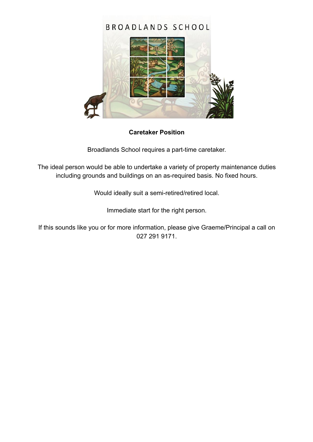

#### **Caretaker Position**

Broadlands School requires a part-time caretaker.

The ideal person would be able to undertake a variety of property maintenance duties including grounds and buildings on an as-required basis. No fixed hours.

Would ideally suit a semi-retired/retired local.

Immediate start for the right person.

If this sounds like you or for more information, please give Graeme/Principal a call on 027 291 9171.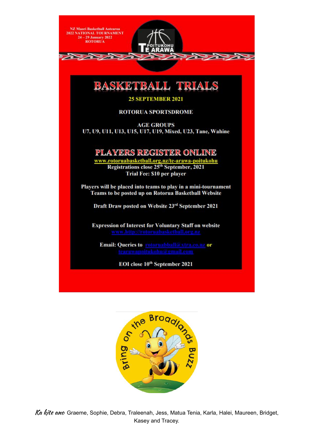

**Expression of Interest for Voluntary Staff on website** 

Email: Queries to rotoruabball@xtra.co.nz or

EOI close 10<sup>th</sup> September 2021



Ka kite ano Graeme, Sophie, Debra, Traleenah, Jess, Matua Tenia, Karla, Halei, Maureen, Bridget, Kasey and Tracey.